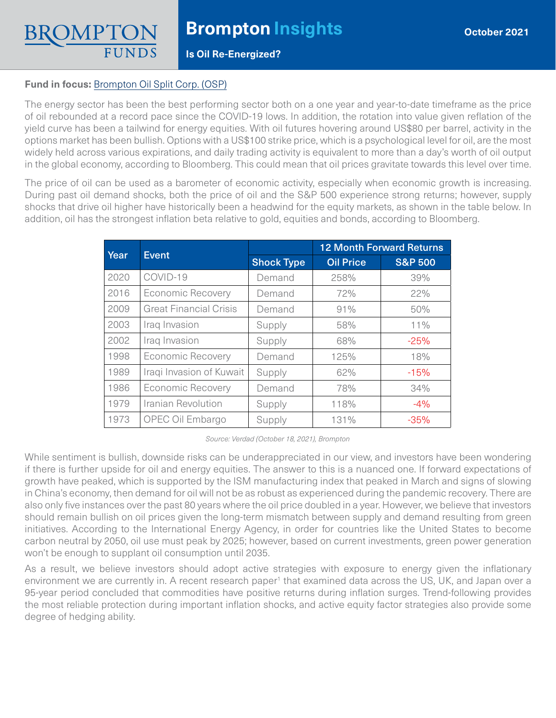**Is Oil Re-Energized?**

## **Fund in focus:** [Brompton Oil Split Corp. \(OSP\)](https://www.bromptongroup.com/product/brompton-oil-split-corp/)

The energy sector has been the best performing sector both on a one year and year-to-date timeframe as the price of oil rebounded at a record pace since the COVID-19 lows. In addition, the rotation into value given reflation of the yield curve has been a tailwind for energy equities. With oil futures hovering around US\$80 per barrel, activity in the options market has been bullish. Options with a US\$100 strike price, which is a psychological level for oil, are the most widely held across various expirations, and daily trading activity is equivalent to more than a day's worth of oil output in the global economy, according to Bloomberg. This could mean that oil prices gravitate towards this level over time.

The price of oil can be used as a barometer of economic activity, especially when economic growth is increasing. During past oil demand shocks, both the price of oil and the S&P 500 experience strong returns; however, supply shocks that drive oil higher have historically been a headwind for the equity markets, as shown in the table below. In addition, oil has the strongest inflation beta relative to gold, equities and bonds, according to Bloomberg.

| Year | <b>Event</b>                  |                   | <b>12 Month Forward Returns</b> |                    |
|------|-------------------------------|-------------------|---------------------------------|--------------------|
|      |                               | <b>Shock Type</b> | <b>Oil Price</b>                | <b>S&amp;P 500</b> |
| 2020 | COVID-19                      | Demand            | 258%                            | 39%                |
| 2016 | <b>Economic Recovery</b>      | Demand            | 72%                             | 22%                |
| 2009 | <b>Great Financial Crisis</b> | Demand            | 91%                             | 50%                |
| 2003 | Iraq Invasion                 | Supply            | 58%                             | 11%                |
| 2002 | Iraq Invasion                 | Supply            | 68%                             | $-25%$             |
| 1998 | <b>Economic Recovery</b>      | Demand            | 125%                            | 18%                |
| 1989 | Iraqi Invasion of Kuwait      | Supply            | 62%                             | $-15%$             |
| 1986 | <b>Economic Recovery</b>      | Demand            | 78%                             | 34%                |
| 1979 | Iranian Revolution            | Supply            | 118%                            | $-4%$              |
| 1973 | OPEC Oil Embargo              | Supply            | 131%                            | $-35%$             |

*Source: Verdad (October 18, 2021), Brompton*

While sentiment is bullish, downside risks can be underappreciated in our view, and investors have been wondering if there is further upside for oil and energy equities. The answer to this is a nuanced one. If forward expectations of growth have peaked, which is supported by the ISM manufacturing index that peaked in March and signs of slowing in China's economy, then demand for oil will not be as robust as experienced during the pandemic recovery. There are also only five instances over the past 80 years where the oil price doubled in a year. However, we believe that investors should remain bullish on oil prices given the long-term mismatch between supply and demand resulting from green initiatives. According to the International Energy Agency, in order for countries like the United States to become carbon neutral by 2050, oil use must peak by 2025; however, based on current investments, green power generation won't be enough to supplant oil consumption until 2035.

As a result, we believe investors should adopt active strategies with exposure to energy given the inflationary environment we are currently in. A recent research paper<sup>1</sup> that examined data across the US, UK, and Japan over a 95-year period concluded that commodities have positive returns during inflation surges. Trend-following provides the most reliable protection during important inflation shocks, and active equity factor strategies also provide some degree of hedging ability.